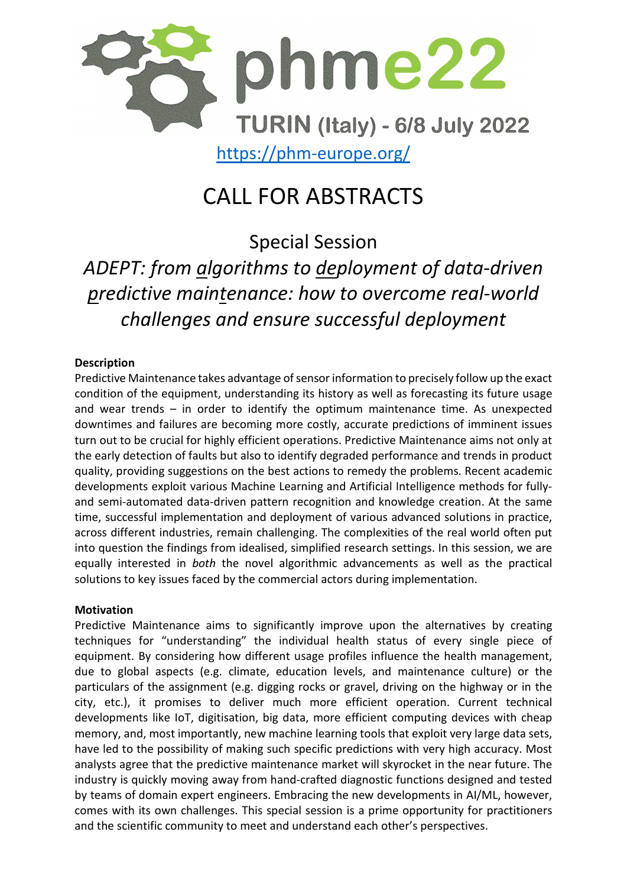

# CALL FOR ABSTRACTS

Special Session *ADEPT: from algorithms to deployment of data-driven predictive maintenance: how to overcome real-world challenges and ensure successful deployment*

### **Description**

Predictive Maintenance takes advantage of sensor information to precisely follow up the exact condition of the equipment, understanding its history as well as forecasting its future usage and wear trends – in order to identify the optimum maintenance time. As unexpected downtimes and failures are becoming more costly, accurate predictions of imminent issues turn out to be crucial for highly efficient operations. Predictive Maintenance aims not only at the early detection of faults but also to identify degraded performance and trends in product quality, providing suggestions on the best actions to remedy the problems. Recent academic developments exploit various Machine Learning and Artificial Intelligence methods for fullyand semi-automated data-driven pattern recognition and knowledge creation. At the same time, successful implementation and deployment of various advanced solutions in practice, across different industries, remain challenging. The complexities of the real world often put into question the findings from idealised, simplified research settings. In this session, we are equally interested in *both* the novel algorithmic advancements as well as the practical solutions to key issues faced by the commercial actors during implementation.

### **Motivation**

Predictive Maintenance aims to significantly improve upon the alternatives by creating techniques for "understanding" the individual health status of every single piece of equipment. By considering how different usage profiles influence the health management, due to global aspects (e.g. climate, education levels, and maintenance culture) or the particulars of the assignment (e.g. digging rocks or gravel, driving on the highway or in the city, etc.), it promises to deliver much more efficient operation. Current technical developments like IoT, digitisation, big data, more efficient computing devices with cheap memory, and, most importantly, new machine learning tools that exploit very large data sets, have led to the possibility of making such specific predictions with very high accuracy. Most analysts agree that the predictive maintenance market will skyrocket in the near future. The industry is quickly moving away from hand-crafted diagnostic functions designed and tested by teams of domain expert engineers. Embracing the new developments in AI/ML, however, comes with its own challenges. This special session is a prime opportunity for practitioners and the scientific community to meet and understand each other's perspectives.